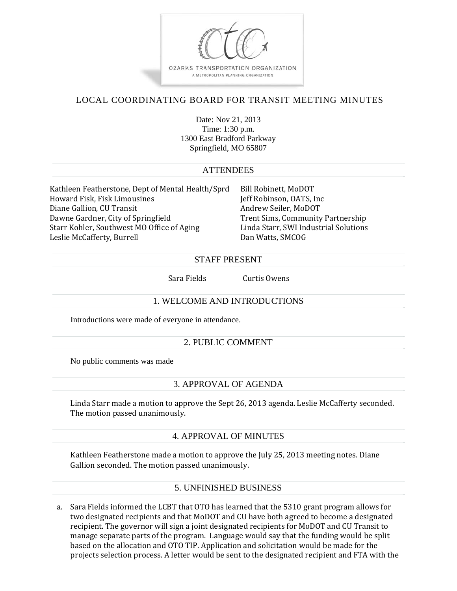

# LOCAL COORDINATING BOARD FOR TRANSIT MEETING MINUTES

Date: Nov 21, 2013 Time: 1:30 p.m. 1300 East Bradford Parkway Springfield, MO 65807

### **ATTENDEES**

Kathleen Featherstone, Dept of Mental Health/Sprd Bill Robinett, MoDOT Howard Fisk, Fisk Limousines Jeff Robinson, OATS, Inc Diane Gallion, CU Transit Andrew Seiler, MoDOT Dawne Gardner, City of Springfield Trent Sims, Community Partnership Starr Kohler, Southwest MO Office of Aging Linda Starr, SWI Industrial Solutions Leslie McCafferty, Burrell **Dan Watts, SMCOG** 

#### STAFF PRESENT

Sara Fields Curtis Owens

### 1. WELCOME AND INTRODUCTIONS

Introductions were made of everyone in attendance.

### 2. PUBLIC COMMENT

No public comments was made

## 3. APPROVAL OF AGENDA

Linda Starr made a motion to approve the Sept 26, 2013 agenda. Leslie McCafferty seconded. The motion passed unanimously.

### 4. APPROVAL OF MINUTES

Kathleen Featherstone made a motion to approve the July 25, 2013 meeting notes. Diane Gallion seconded. The motion passed unanimously.

## 5. UNFINISHED BUSINESS

a. Sara Fields informed the LCBT that OTO has learned that the 5310 grant program allows for two designated recipients and that MoDOT and CU have both agreed to become a designated recipient. The governor will sign a joint designated recipients for MoDOT and CU Transit to manage separate parts of the program. Language would say that the funding would be split based on the allocation and OTO TIP. Application and solicitation would be made for the projects selection process. A letter would be sent to the designated recipient and FTA with the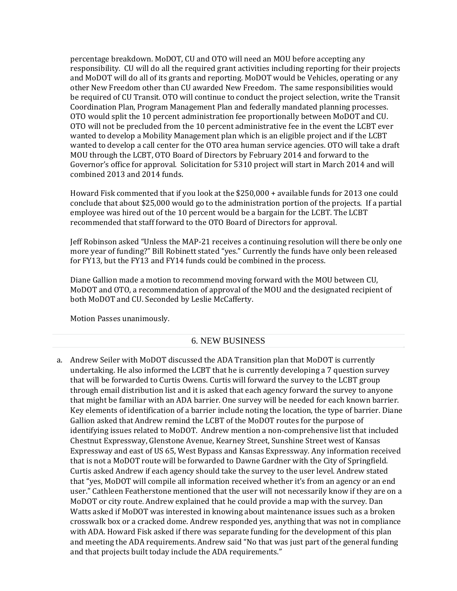percentage breakdown. MoDOT, CU and OTO will need an MOU before accepting any responsibility. CU will do all the required grant activities including reporting for their projects and MoDOT will do all of its grants and reporting. MoDOT would be Vehicles, operating or any other New Freedom other than CU awarded New Freedom. The same responsibilities would be required of CU Transit. OTO will continue to conduct the project selection, write the Transit Coordination Plan, Program Management Plan and federally mandated planning processes. OTO would split the 10 percent administration fee proportionally between MoDOT and CU. OTO will not be precluded from the 10 percent administrative fee in the event the LCBT ever wanted to develop a Mobility Management plan which is an eligible project and if the LCBT wanted to develop a call center for the OTO area human service agencies. OTO will take a draft MOU through the LCBT, OTO Board of Directors by February 2014 and forward to the Governor's office for approval. Solicitation for 5310 project will start in March 2014 and will combined 2013 and 2014 funds. 

Howard Fisk commented that if you look at the  $$250,000 +$  available funds for 2013 one could conclude that about \$25,000 would go to the administration portion of the projects. If a partial employee was hired out of the 10 percent would be a bargain for the LCBT. The LCBT recommended that staff forward to the OTO Board of Directors for approval.

Jeff Robinson asked "Unless the MAP-21 receives a continuing resolution will there be only one more year of funding?" Bill Robinett stated "yes." Currently the funds have only been released for FY13, but the FY13 and FY14 funds could be combined in the process.

Diane Gallion made a motion to recommend moving forward with the MOU between CU, MoDOT and OTO, a recommendation of approval of the MOU and the designated recipient of both MoDOT and CU. Seconded by Leslie McCafferty.

Motion Passes unanimously.

#### 6. NEW BUSINESS

a. Andrew Seiler with MoDOT discussed the ADA Transition plan that MoDOT is currently undertaking. He also informed the LCBT that he is currently developing a 7 question survey that will be forwarded to Curtis Owens. Curtis will forward the survey to the LCBT group through email distribution list and it is asked that each agency forward the survey to anyone that might be familiar with an ADA barrier. One survey will be needed for each known barrier. Key elements of identification of a barrier include noting the location, the type of barrier. Diane Gallion asked that Andrew remind the LCBT of the MoDOT routes for the purpose of identifying issues related to MoDOT. Andrew mention a non-comprehensive list that included Chestnut Expressway, Glenstone Avenue, Kearney Street, Sunshine Street west of Kansas Expressway and east of US 65, West Bypass and Kansas Expressway. Any information received that is not a MoDOT route will be forwarded to Dawne Gardner with the City of Springfield. Curtis asked Andrew if each agency should take the survey to the user level. Andrew stated that "yes, MoDOT will compile all information received whether it's from an agency or an end user." Cathleen Featherstone mentioned that the user will not necessarily know if they are on a MoDOT or city route. Andrew explained that he could provide a map with the survey. Dan Watts asked if MoDOT was interested in knowing about maintenance issues such as a broken crosswalk box or a cracked dome. Andrew responded yes, anything that was not in compliance with ADA. Howard Fisk asked if there was separate funding for the development of this plan and meeting the ADA requirements. Andrew said "No that was just part of the general funding and that projects built today include the ADA requirements."